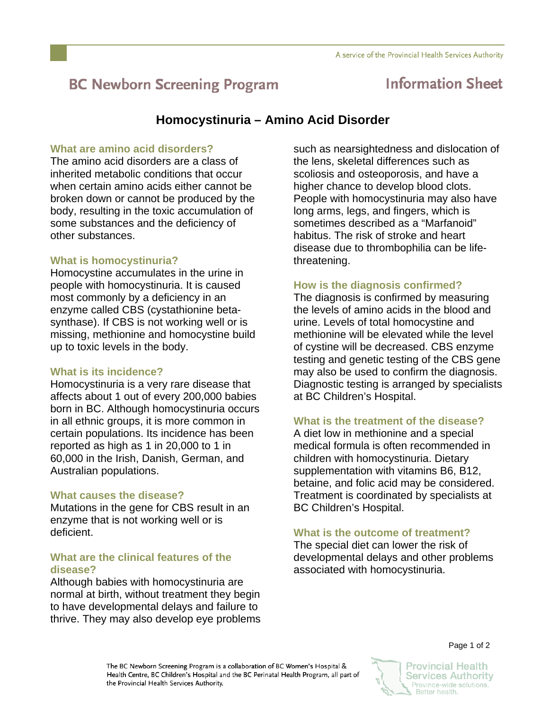# **BC Newborn Screening Program**

## **Information Sheet**

### **Homocystinuria – Amino Acid Disorder**

#### **What are amino acid disorders?**

The amino acid disorders are a class of inherited metabolic conditions that occur when certain amino acids either cannot be broken down or cannot be produced by the body, resulting in the toxic accumulation of some substances and the deficiency of other substances.

#### **What is homocystinuria?**

Homocystine accumulates in the urine in people with homocystinuria. It is caused most commonly by a deficiency in an enzyme called CBS (cystathionine betasynthase). If CBS is not working well or is missing, methionine and homocystine build up to toxic levels in the body.

#### **What is its incidence?**

Homocystinuria is a very rare disease that affects about 1 out of every 200,000 babies born in BC. Although homocystinuria occurs in all ethnic groups, it is more common in certain populations. Its incidence has been reported as high as 1 in 20,000 to 1 in 60,000 in the Irish, Danish, German, and Australian populations.

#### **What causes the disease?**

Mutations in the gene for CBS result in an enzyme that is not working well or is deficient.

#### **What are the clinical features of the disease?**

Although babies with homocystinuria are normal at birth, without treatment they begin to have developmental delays and failure to thrive. They may also develop eye problems such as nearsightedness and dislocation of the lens, skeletal differences such as scoliosis and osteoporosis, and have a higher chance to develop blood clots. People with homocystinuria may also have long arms, legs, and fingers, which is sometimes described as a "Marfanoid" habitus. The risk of stroke and heart disease due to thrombophilia can be lifethreatening.

#### **How is the diagnosis confirmed?**

The diagnosis is confirmed by measuring the levels of amino acids in the blood and urine. Levels of total homocystine and methionine will be elevated while the level of cystine will be decreased. CBS enzyme testing and genetic testing of the CBS gene may also be used to confirm the diagnosis. Diagnostic testing is arranged by specialists at BC Children's Hospital.

#### **What is the treatment of the disease?**

A diet low in methionine and a special medical formula is often recommended in children with homocystinuria. Dietary supplementation with vitamins B6, B12, betaine, and folic acid may be considered. Treatment is coordinated by specialists at BC Children's Hospital.

#### **What is the outcome of treatment?**

The special diet can lower the risk of developmental delays and other problems associated with homocystinuria.



Page 1 of 2